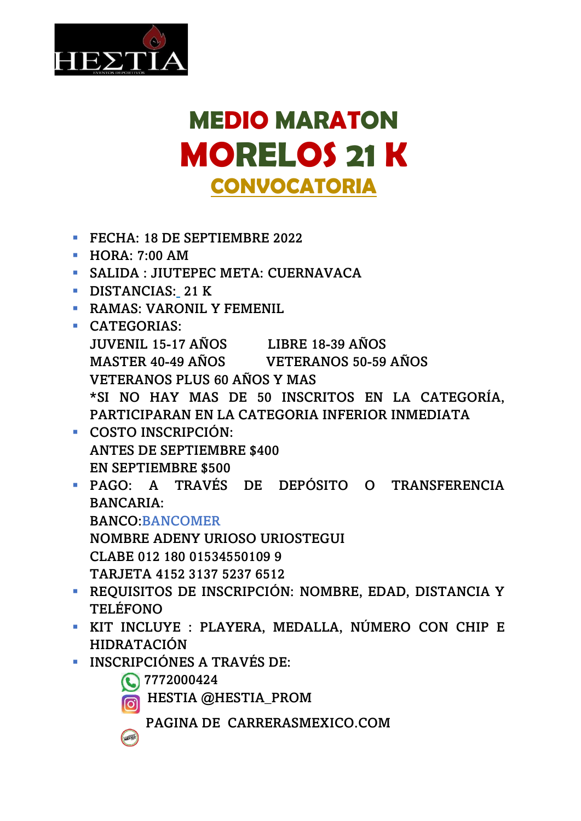

## **MEDIO MARATON MORELOS 21 K CONVOCATORIA**

- **EXECUTE: 18 DE SEPTIEMBRE 2022**
- HORA: 7:00 AM
- **SALIDA : JIUTEPEC META: CUERNAVACA**
- **DISTANCIAS: 21 K**
- **EXAMAS: VARONIL Y FEMENIL**
- **CATEGORIAS:** JUVENIL 15-17 AÑOS LIBRE 18-39 AÑOS MASTER 40-49 AÑOS VETERANOS 50-59 AÑOS VETERANOS PLUS 60 AÑOS Y MAS \*SI NO HAY MAS DE 50 INSCRITOS EN LA CATEGORÍA, PARTICIPARAN EN LA CATEGORIA INFERIOR INMEDIATA
- COSTO INSCRIPCIÓN: ANTES DE SEPTIEMBRE \$400 EN SEPTIEMBRE \$500
- PAGO: A TRAVÉS DE DEPÓSITO O TRANSFERENCIA BANCARIA: BANCO:BANCOMER NOMBRE ADENY URIOSO URIOSTEGUI
	- CLABE 012 180 01534550109 9
	- TARJETA 4152 3137 5237 6512
- REQUISITOS DE INSCRIPCIÓN: NOMBRE, EDAD, DISTANCIA Y TELÉFONO
- KIT INCLUYE : PLAYERA, MEDALLA, NÚMERO CON CHIP E HIDRATACIÓN
- INSCRIPCIÓNES A TRAVÉS DE:
	- 7772000424

HESTIA @HESTIA\_PROM

PAGINA DE CARRERASMEXICO.COM